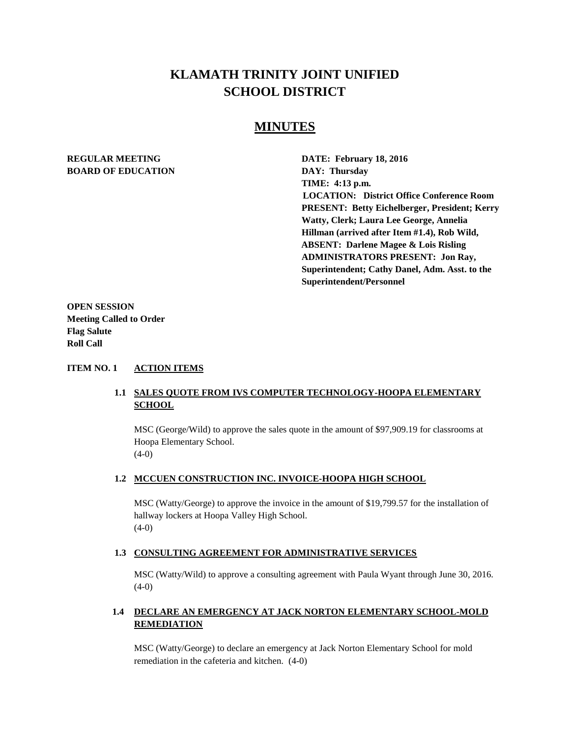# **KLAMATH TRINITY JOINT UNIFIED SCHOOL DISTRICT**

# **MINUTES**

# **BOARD OF EDUCATION DAY: Thursday**

**REGULAR MEETING DATE: February 18, 2016 TIME: 4:13 p.m. LOCATION: District Office Conference Room PRESENT: Betty Eichelberger, President; Kerry Watty, Clerk; Laura Lee George, Annelia Hillman (arrived after Item #1.4), Rob Wild, ABSENT: Darlene Magee & Lois Risling ADMINISTRATORS PRESENT: Jon Ray, Superintendent; Cathy Danel, Adm. Asst. to the Superintendent/Personnel** 

**OPEN SESSION Meeting Called to Order Flag Salute Roll Call**

#### **ITEM NO. 1 ACTION ITEMS**

# **1.1 SALES QUOTE FROM IVS COMPUTER TECHNOLOGY-HOOPA ELEMENTARY SCHOOL**

MSC (George/Wild) to approve the sales quote in the amount of \$97,909.19 for classrooms at Hoopa Elementary School.  $(4-0)$ 

### **1.2 MCCUEN CONSTRUCTION INC. INVOICE-HOOPA HIGH SCHOOL**

MSC (Watty/George) to approve the invoice in the amount of \$19,799.57 for the installation of hallway lockers at Hoopa Valley High School. (4-0)

### **1.3 CONSULTING AGREEMENT FOR ADMINISTRATIVE SERVICES**

MSC (Watty/Wild) to approve a consulting agreement with Paula Wyant through June 30, 2016.  $(4-0)$ 

# **1.4 DECLARE AN EMERGENCY AT JACK NORTON ELEMENTARY SCHOOL-MOLD REMEDIATION**

MSC (Watty/George) to declare an emergency at Jack Norton Elementary School for mold remediation in the cafeteria and kitchen. (4-0)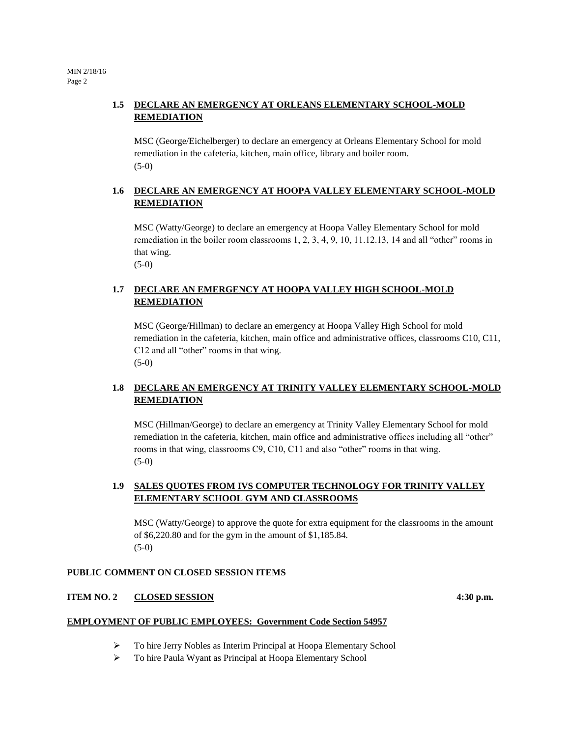# **1.5 DECLARE AN EMERGENCY AT ORLEANS ELEMENTARY SCHOOL-MOLD REMEDIATION**

MSC (George/Eichelberger) to declare an emergency at Orleans Elementary School for mold remediation in the cafeteria, kitchen, main office, library and boiler room. (5-0)

# **1.6 DECLARE AN EMERGENCY AT HOOPA VALLEY ELEMENTARY SCHOOL-MOLD REMEDIATION**

MSC (Watty/George) to declare an emergency at Hoopa Valley Elementary School for mold remediation in the boiler room classrooms 1, 2, 3, 4, 9, 10, 11.12.13, 14 and all "other" rooms in that wing. (5-0)

**1.7 DECLARE AN EMERGENCY AT HOOPA VALLEY HIGH SCHOOL-MOLD REMEDIATION**

MSC (George/Hillman) to declare an emergency at Hoopa Valley High School for mold remediation in the cafeteria, kitchen, main office and administrative offices, classrooms C10, C11, C12 and all "other" rooms in that wing. (5-0)

# **1.8 DECLARE AN EMERGENCY AT TRINITY VALLEY ELEMENTARY SCHOOL-MOLD REMEDIATION**

MSC (Hillman/George) to declare an emergency at Trinity Valley Elementary School for mold remediation in the cafeteria, kitchen, main office and administrative offices including all "other" rooms in that wing, classrooms C9, C10, C11 and also "other" rooms in that wing. (5-0)

# **1.9 SALES QUOTES FROM IVS COMPUTER TECHNOLOGY FOR TRINITY VALLEY ELEMENTARY SCHOOL GYM AND CLASSROOMS**

MSC (Watty/George) to approve the quote for extra equipment for the classrooms in the amount of \$6,220.80 and for the gym in the amount of \$1,185.84. (5-0)

### **PUBLIC COMMENT ON CLOSED SESSION ITEMS**

### **ITEM NO. 2 CLOSED SESSION** 4:30 p.m.

### **EMPLOYMENT OF PUBLIC EMPLOYEES: Government Code Section 54957**

- To hire Jerry Nobles as Interim Principal at Hoopa Elementary School
- To hire Paula Wyant as Principal at Hoopa Elementary School